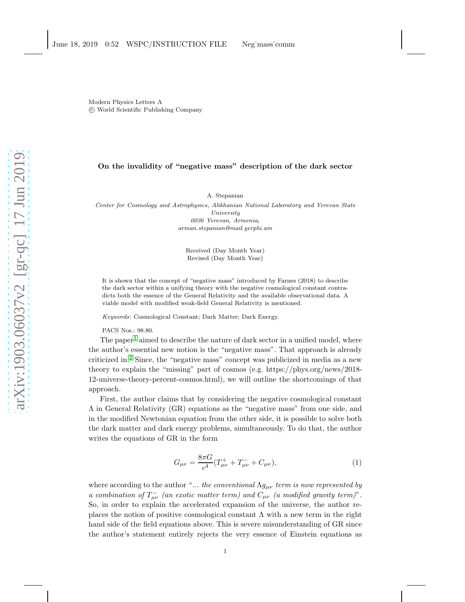Modern Physics Letters A c World Scientific Publishing Company

## On the invalidity of "negative mass" description of the dark sector

A. Stepanian

Center for Cosmology and Astrophysics, Alikhanian National Laboratory and Yerevan State University 0036 Yerevan, Armenia, arman.stepanian@mail.yerphi.am

> Received (Day Month Year) Revised (Day Month Year)

It is shown that the concept of "negative mass" introduced by Farnes (2018) to describe the dark sector within a unifying theory with the negative cosmological constant contradicts both the essence of the General Relativity and the available observational data. A viable model with modified weak-field General Relativity is mentioned.

Keywords: Cosmological Constant; Dark Matter; Dark Energy.

PACS Nos.: 98.80.

The paper<sup>[1](#page-3-0)</sup> aimed to describe the nature of dark sector in a unified model, where the author's essential new notion is the "negative mass". That approach is already criticized in.[2](#page-3-1) Since, the "negative mass" concept was publicized in media as a new theory to explain the "missing" part of cosmos (e.g. https://phys.org/news/2018- 12-universe-theory-percent-cosmos.html), we will outline the shortcomings of that approach.

First, the author claims that by considering the negative cosmological constant Λ in General Relativity (GR) equations as the "negative mass" from one side, and in the modified Newtonian equation from the other side, it is possible to solve both the dark matter and dark energy problems, simultaneously. To do that, the author writes the equations of GR in the form

$$
G_{\mu\nu} = \frac{8\pi G}{c^4} (T^+_{\mu\nu} + T^-_{\mu\nu} + C_{\mu\nu}), \tag{1}
$$

where according to the author "... the conventional  $\Lambda g_{\mu\nu}$  term is now represented by a combination of  $T_{\mu\nu}^-$  (an exotic matter term) and  $C_{\mu\nu}^-$  (a modified gravity term)". So, in order to explain the accelerated expansion of the universe, the author replaces the notion of positive cosmological constant  $\Lambda$  with a new term in the right hand side of the field equations above. This is severe misunderstanding of GR since the author's statement entirely rejects the very essence of Einstein equations as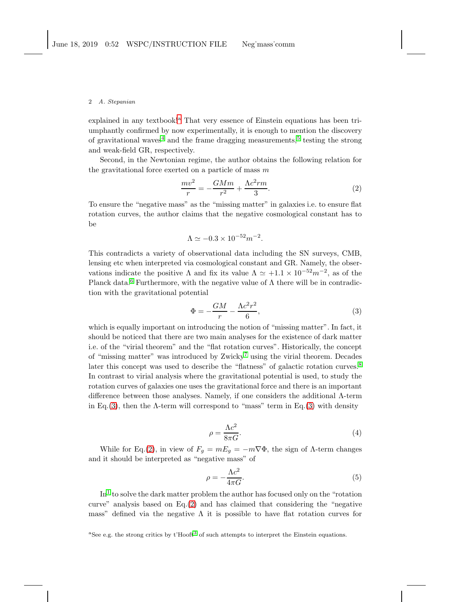#### 2 A. Stepanian

expl[a](#page-1-0)ined in any textbook!<sup>a</sup> That very essence of Einstein equations has been triumphantly confirmed by now experimentally, it is enough to mention the discovery of gravitational waves<sup>[4](#page-3-2)</sup> and the frame dragging measurements,<sup>[5](#page-3-3)</sup> testing the strong and weak-field GR, respectively.

Second, in the Newtonian regime, the author obtains the following relation for the gravitational force exerted on a particle of mass  $m$ 

<span id="page-1-2"></span>
$$
\frac{mv^2}{r} = -\frac{GMm}{r^2} + \frac{\Lambda c^2 rm}{3}.\tag{2}
$$

To ensure the "negative mass" as the "missing matter" in galaxies i.e. to ensure flat rotation curves, the author claims that the negative cosmological constant has to be

$$
\Lambda \simeq -0.3 \times 10^{-52} m^{-2}.
$$

This contradicts a variety of observational data including the SN surveys, CMB, lensing etc when interpreted via cosmological constant and GR. Namely, the observations indicate the positive  $\Lambda$  and fix its value  $\Lambda \simeq +1.1 \times 10^{-52} m^{-2}$ , as of the Planck data.<sup>[6](#page-3-4)</sup> Furthermore, with the negative value of  $\Lambda$  there will be in contradiction with the gravitational potential

<span id="page-1-1"></span>
$$
\Phi = -\frac{GM}{r} - \frac{\Lambda c^2 r^2}{6},\tag{3}
$$

which is equally important on introducing the notion of "missing matter". In fact, it should be noticed that there are two main analyses for the existence of dark matter i.e. of the "virial theorem" and the "flat rotation curves". Historically, the concept of "missing matter" was introduced by  $\mathbb{Z}$ wicky<sup>[7](#page-3-5)</sup> using the virial theorem. Decades later this concept was used to describe the "flatness" of galactic rotation curves.<sup>[8](#page-3-6)</sup> In contrast to virial analysis where the gravitational potential is used, to study the rotation curves of galaxies one uses the gravitational force and there is an important difference between those analyses. Namely, if one considers the additional Λ-term in Eq.[\(3\)](#page-1-1), then the  $\Lambda$ -term will correspond to "mass" term in Eq.(3) with density

<span id="page-1-3"></span>
$$
\rho = \frac{\Lambda c^2}{8\pi G}.\tag{4}
$$

While for Eq.[\(2\)](#page-1-2), in view of  $F_g = mE_g = -m\nabla\Phi$ , the sign of  $\Lambda$ -term changes and it should be interpreted as "negative mass" of

<span id="page-1-4"></span>
$$
\rho = -\frac{\Lambda c^2}{4\pi G}.\tag{5}
$$

 $\text{In}^1$  $\text{In}^1$  to solve the dark matter problem the author has focused only on the "rotation curve" analysis based on Eq.[\(2\)](#page-1-2) and has claimed that considering the "negative mass" defined via the negative  $\Lambda$  it is possible to have flat rotation curves for

<span id="page-1-0"></span><sup>a</sup>See e.g. the strong critics by  $t' \text{Hooft}^3$  $t' \text{Hooft}^3$  of such attempts to interpret the Einstein equations.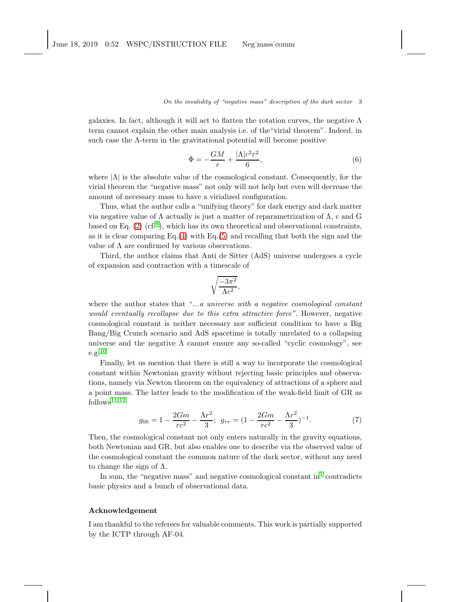### On the invalidity of "negative mass" description of the dark sector 3

galaxies. In fact, although it will act to flatten the rotation curves, the negative  $\Lambda$ term cannot explain the other main analysis i.e. of the"virial theorem". Indeed, in such case the  $\Lambda$ -term in the gravitational potential will become positive

$$
\Phi = -\frac{GM}{r} + \frac{|\Lambda|c^2r^2}{6},\tag{6}
$$

where  $|\Lambda|$  is the absolute value of the cosmological constant. Consequently, for the virial theorem the "negative mass" not only will not help but even will decrease the amount of necessary mass to have a virialized configuration.

Thus, what the author calls a "unifying theory" for dark energy and dark matter via negative value of Λ actually is just a matter of reparametrization of Λ, c and G based on Eq.  $(2)$   $(cf.^9)$  $(cf.^9)$  $(cf.^9)$ , which has its own theoretical and observational constraints, as it is clear comparing  $Eq.(4)$  $Eq.(4)$  with  $Eq.(5)$  $Eq.(5)$  and recalling that both the sign and the value of  $\Lambda$  are confirmed by various observations.

Third, the author claims that Anti de Sitter (AdS) universe undergoes a cycle of expansion and contraction with a timescale of

$$
\sqrt{\frac{-3\pi^2}{\Lambda c^2}},
$$

where the author states that "...a universe with a negative cosmological constant would eventually recollapse due to this extra attractive force". However, negative cosmological constant is neither necessary nor sufficient condition to have a Big Bang/Big Crunch scenario and AdS spacetime is totally unrelated to a collapsing universe and the negative  $\Lambda$  cannot ensure any so-called "cyclic cosmology", see  $e.g.<sup>10</sup>$  $e.g.<sup>10</sup>$  $e.g.<sup>10</sup>$ 

Finally, let us mention that there is still a way to incorporate the cosmological constant within Newtonian gravity without rejecting basic principles and observations, namely via Newton theorem on the equivalency of attractions of a sphere and a point mass. The latter leads to the modification of the weak-field limit of GR as  $follows<sup>11, 12</sup>$  $follows<sup>11, 12</sup>$  $follows<sup>11, 12</sup>$  $follows<sup>11, 12</sup>$ 

$$
g_{00} = 1 - \frac{2Gm}{rc^2} - \frac{\Lambda r^2}{3}; \ \ g_{rr} = (1 - \frac{2Gm}{rc^2} - \frac{\Lambda r^2}{3})^{-1}.
$$
 (7)

Then, the cosmological constant not only enters naturally in the gravity equations, both Newtonian and GR, but also enables one to describe via the observed value of the cosmological constant the common nature of the dark sector, without any need to change the sign of  $\Lambda$ .

In sum, the "negative mass" and negative cosmological constant  $\text{in}^1$  $\text{in}^1$  contradicts basic physics and a bunch of observational data.

#### Acknowledgement

I am thankful to the referees for valuable comments. This work is partially supported by the ICTP through AF-04.